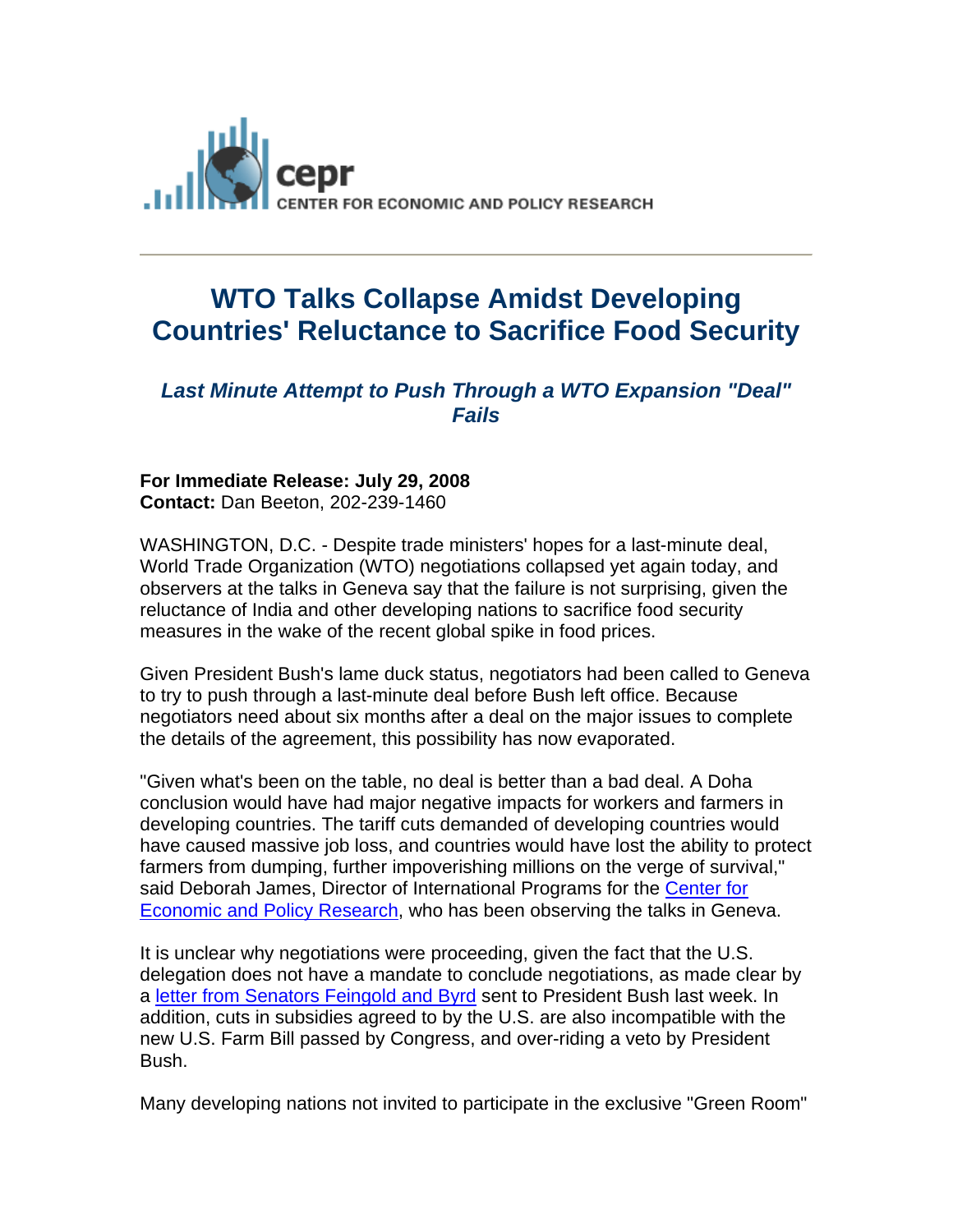

## **WTO Talks Collapse Amidst Developing Countries' Reluctance to Sacrifice Food Security**

## *Last Minute Attempt to Push Through a WTO Expansion "Deal" Fails*

## **For Immediate Release: July 29, 2008 Contact:** Dan Beeton, 202-239-1460

WASHINGTON, D.C. - Despite trade ministers' hopes for a last-minute deal, World Trade Organization (WTO) negotiations collapsed yet again today, and observers at the talks in Geneva say that the failure is not surprising, given the reluctance of India and other developing nations to sacrifice food security measures in the wake of the recent global spike in food prices.

Given President Bush's lame duck status, negotiators had been called to Geneva to try to push through a last-minute deal before Bush left office. Because negotiators need about six months after a deal on the major issues to complete the details of the agreement, this possibility has now evaporated.

"Given what's been on the table, no deal is better than a bad deal. A Doha conclusion would have had major negative impacts for workers and farmers in developing countries. The tariff cuts demanded of developing countries would have caused massive job loss, and countries would have lost the ability to protect farmers from dumping, further impoverishing millions on the verge of survival," said Deborah James, Director of International Programs for the Center for Economic and Policy Research, who has been observing the talks in Geneva.

It is unclear why negotiations were proceeding, given the fact that the U.S. delegation does not have a mandate to conclude negotiations, as made clear by a letter from Senators Feingold and Byrd sent to President Bush last week. In addition, cuts in subsidies agreed to by the U.S. are also incompatible with the new U.S. Farm Bill passed by Congress, and over-riding a veto by President Bush.

Many developing nations not invited to participate in the exclusive "Green Room"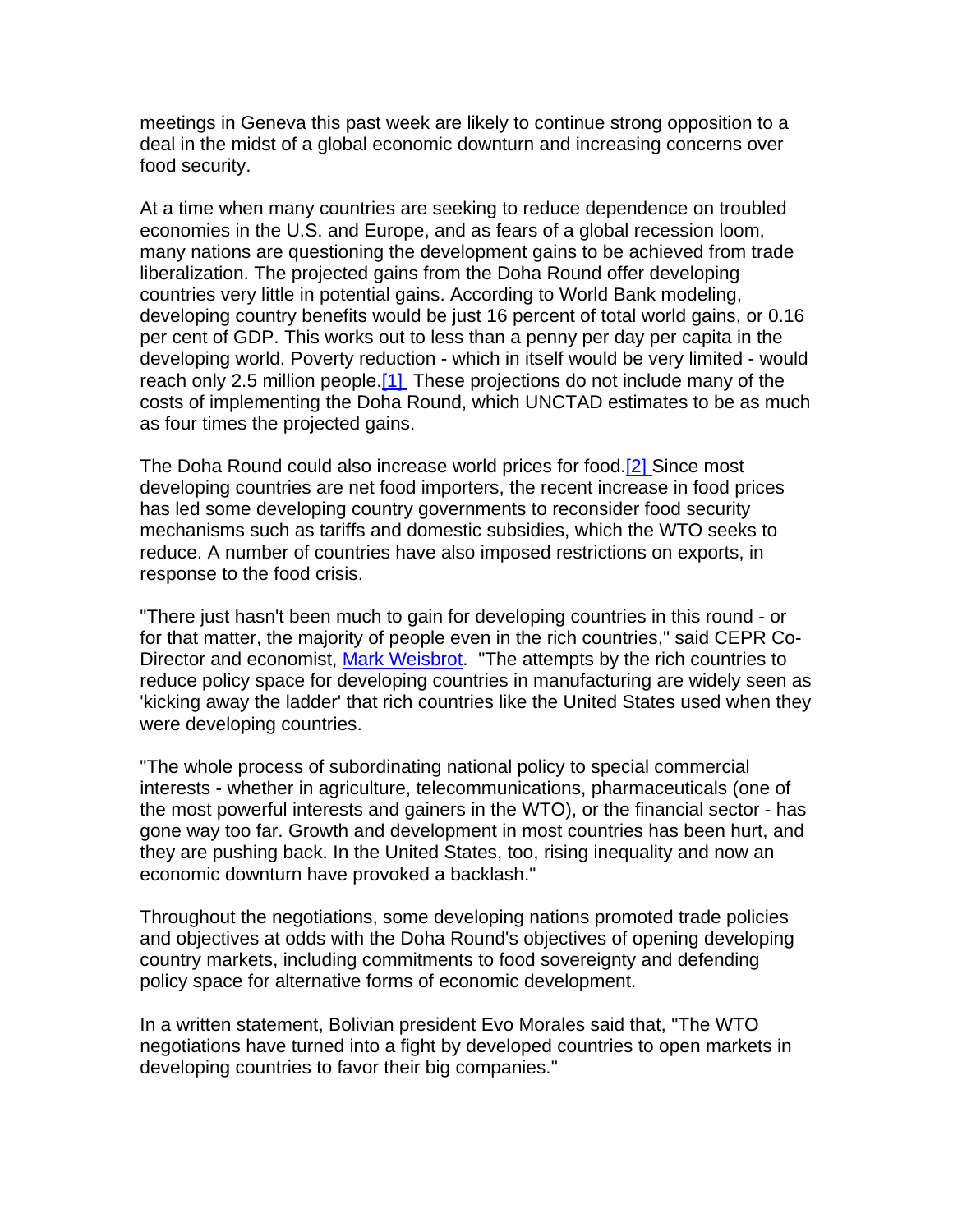meetings in Geneva this past week are likely to continue strong opposition to a deal in the midst of a global economic downturn and increasing concerns over food security.

At a time when many countries are seeking to reduce dependence on troubled economies in the U.S. and Europe, and as fears of a global recession loom, many nations are questioning the development gains to be achieved from trade liberalization. The projected gains from the Doha Round offer developing countries very little in potential gains. According to World Bank modeling, developing country benefits would be just 16 percent of total world gains, or 0.16 per cent of GDP. This works out to less than a penny per day per capita in the developing world. Poverty reduction - which in itself would be very limited - would reach only 2.5 million people.[1] These projections do not include many of the costs of implementing the Doha Round, which UNCTAD estimates to be as much as four times the projected gains.

The Doha Round could also increase world prices for food.[2] Since most developing countries are net food importers, the recent increase in food prices has led some developing country governments to reconsider food security mechanisms such as tariffs and domestic subsidies, which the WTO seeks to reduce. A number of countries have also imposed restrictions on exports, in response to the food crisis.

"There just hasn't been much to gain for developing countries in this round - or for that matter, the majority of people even in the rich countries," said CEPR Co-Director and economist, Mark Weisbrot. "The attempts by the rich countries to reduce policy space for developing countries in manufacturing are widely seen as 'kicking away the ladder' that rich countries like the United States used when they were developing countries.

"The whole process of subordinating national policy to special commercial interests - whether in agriculture, telecommunications, pharmaceuticals (one of the most powerful interests and gainers in the WTO), or the financial sector - has gone way too far. Growth and development in most countries has been hurt, and they are pushing back. In the United States, too, rising inequality and now an economic downturn have provoked a backlash."

Throughout the negotiations, some developing nations promoted trade policies and objectives at odds with the Doha Round's objectives of opening developing country markets, including commitments to food sovereignty and defending policy space for alternative forms of economic development.

In a written statement, Bolivian president Evo Morales said that, "The WTO negotiations have turned into a fight by developed countries to open markets in developing countries to favor their big companies."